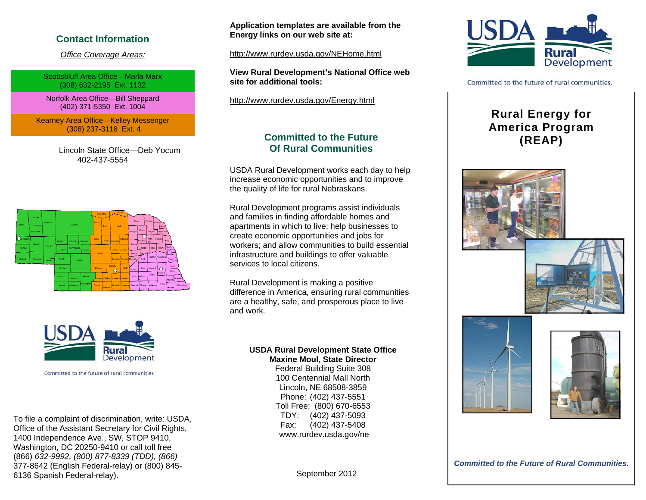## **Contact Information**

*Office Coverage Areas:*

Scottsbluff Area Office—Marla Marx (308) 632-2195 Ext. 1132

Norfolk Area Office—Bill Sheppard (402) 371-5350 Ext. 1004

Kearney Area Office—Kelley Messenger (308) 237-3118 Ext. 4

> Lincoln State Office—Deb Yocum 402-437-5554





Committed to the future of rural communities.

To file a complaint of discrimination, write: USDA, Office of the Assistant Secretary for Civil Rights, 1400 Independence Ave., SW, STOP 9410, Washington, DC 20250-9410 or call toll free (866) *632-9992, (800) 877-8339 (TDD), (866)*  377-8642 (English Federal-relay) or (800) 845- 6136 Spanish Federal-relay).

**Application templates are available from the Energy links on our web site at:** 

http://www.rurdev.usda.gov/NEHome.html

**View Rural Development's National Office web site for additional tools:** 

http://www.rurdev.usda.gov/Energy.html

# **Committed to the Future Committed to the Future (REAP)**<br>
Of Rural Communities

USDA Rural Development works each day to help increase economic opportunities and to improve the quality of life for rural Nebraskans.

Rural Development programs assist individuals and families in finding affordable homes and apartments in which to live; help businesses to create economic opportunities and jobs for workers; and allow communities to build essential infrastructure and buildings to offer valuable services to local citizens.

Rural Development is making a positive difference in America, ensuring rural communities are a healthy, safe, and prosperous place to live and work.

#### **USDA Rural Development State Office Maxine Moul, State Director**

Federal Building Suite 308 100 Centennial Mall North Lincoln, NE 68508-3859 Phone: (402) 437-5551 Toll Free: (800) 670-6553 TDY: (402) 437-5093 Fax: (402) 437-5408 www.rurdev.usda.gov/ne



Committed to the future of rural communities.

## **Rural Energy for America Program**







*Committed to the Future of Rural Communities.* 

September 2012